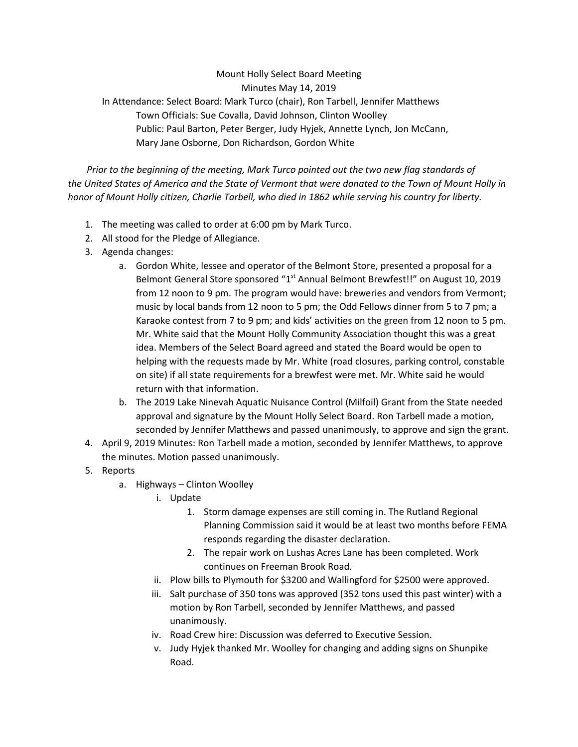## Mount Holly Select Board Meeting Minutes May 14, 2019 In Attendance: Select Board: Mark Turco (chair), Ron Tarbell, Jennifer Matthews Town Officials: Sue Covalla, David Johnson, Clinton Woolley Public: Paul Barton, Peter Berger, Judy Hyjek, Annette Lynch, Jon McCann, Mary Jane Osborne, Don Richardson, Gordon White

 *Prior to the beginning of the meeting, Mark Turco pointed out the two new flag standards of the United States of America and the State of Vermont that were donated to the Town of Mount Holly in honor of Mount Holly citizen, Charlie Tarbell, who died in 1862 while serving his country for liberty.*

- 1. The meeting was called to order at 6:00 pm by Mark Turco.
- 2. All stood for the Pledge of Allegiance.
- 3. Agenda changes:
	- a. Gordon White, lessee and operator of the Belmont Store, presented a proposal for a Belmont General Store sponsored "1<sup>st</sup> Annual Belmont Brewfest!!" on August 10, 2019 from 12 noon to 9 pm. The program would have: breweries and vendors from Vermont; music by local bands from 12 noon to 5 pm; the Odd Fellows dinner from 5 to 7 pm; a Karaoke contest from 7 to 9 pm; and kids' activities on the green from 12 noon to 5 pm. Mr. White said that the Mount Holly Community Association thought this was a great idea. Members of the Select Board agreed and stated the Board would be open to helping with the requests made by Mr. White (road closures, parking control, constable on site) if all state requirements for a brewfest were met. Mr. White said he would return with that information.
	- b. The 2019 Lake Ninevah Aquatic Nuisance Control (Milfoil) Grant from the State needed approval and signature by the Mount Holly Select Board. Ron Tarbell made a motion, seconded by Jennifer Matthews and passed unanimously, to approve and sign the grant.
- 4. April 9, 2019 Minutes: Ron Tarbell made a motion, seconded by Jennifer Matthews, to approve the minutes. Motion passed unanimously.
- 5. Reports
	- a. Highways Clinton Woolley
		- i. Update
			- 1. Storm damage expenses are still coming in. The Rutland Regional Planning Commission said it would be at least two months before FEMA responds regarding the disaster declaration.
			- 2. The repair work on Lushas Acres Lane has been completed. Work continues on Freeman Brook Road.
		- ii. Plow bills to Plymouth for \$3200 and Wallingford for \$2500 were approved.
		- iii. Salt purchase of 350 tons was approved (352 tons used this past winter) with a motion by Ron Tarbell, seconded by Jennifer Matthews, and passed unanimously.
		- iv. Road Crew hire: Discussion was deferred to Executive Session.
		- v. Judy Hyjek thanked Mr. Woolley for changing and adding signs on Shunpike Road.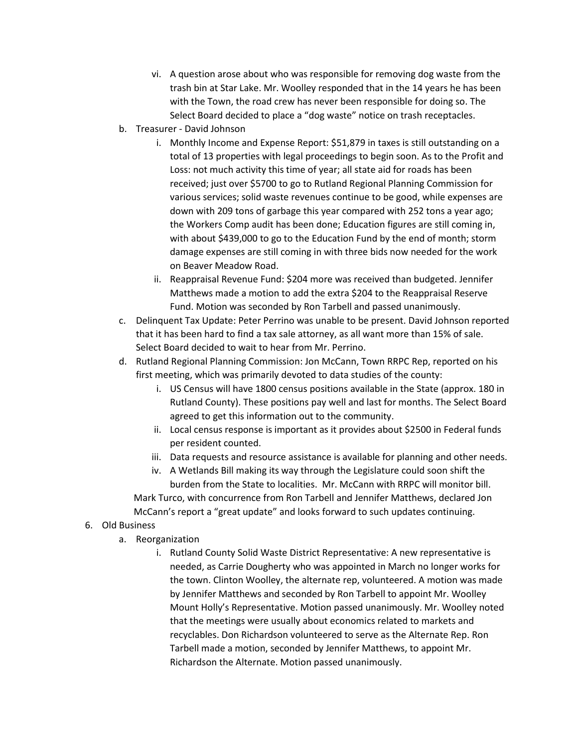- vi. A question arose about who was responsible for removing dog waste from the trash bin at Star Lake. Mr. Woolley responded that in the 14 years he has been with the Town, the road crew has never been responsible for doing so. The Select Board decided to place a "dog waste" notice on trash receptacles.
- b. Treasurer David Johnson
	- i. Monthly Income and Expense Report: \$51,879 in taxes is still outstanding on a total of 13 properties with legal proceedings to begin soon. As to the Profit and Loss: not much activity this time of year; all state aid for roads has been received; just over \$5700 to go to Rutland Regional Planning Commission for various services; solid waste revenues continue to be good, while expenses are down with 209 tons of garbage this year compared with 252 tons a year ago; the Workers Comp audit has been done; Education figures are still coming in, with about \$439,000 to go to the Education Fund by the end of month; storm damage expenses are still coming in with three bids now needed for the work on Beaver Meadow Road.
	- ii. Reappraisal Revenue Fund: \$204 more was received than budgeted. Jennifer Matthews made a motion to add the extra \$204 to the Reappraisal Reserve Fund. Motion was seconded by Ron Tarbell and passed unanimously.
- c. Delinquent Tax Update: Peter Perrino was unable to be present. David Johnson reported that it has been hard to find a tax sale attorney, as all want more than 15% of sale. Select Board decided to wait to hear from Mr. Perrino.
- d. Rutland Regional Planning Commission: Jon McCann, Town RRPC Rep, reported on his first meeting, which was primarily devoted to data studies of the county:
	- i. US Census will have 1800 census positions available in the State (approx. 180 in Rutland County). These positions pay well and last for months. The Select Board agreed to get this information out to the community.
	- ii. Local census response is important as it provides about \$2500 in Federal funds per resident counted.
	- iii. Data requests and resource assistance is available for planning and other needs.
	- iv. A Wetlands Bill making its way through the Legislature could soon shift the burden from the State to localities. Mr. McCann with RRPC will monitor bill. Mark Turco, with concurrence from Ron Tarbell and Jennifer Matthews, declared Jon McCann's report a "great update" and looks forward to such updates continuing.

## 6. Old Business

- a. Reorganization
	- i. Rutland County Solid Waste District Representative: A new representative is needed, as Carrie Dougherty who was appointed in March no longer works for the town. Clinton Woolley, the alternate rep, volunteered. A motion was made by Jennifer Matthews and seconded by Ron Tarbell to appoint Mr. Woolley Mount Holly's Representative. Motion passed unanimously. Mr. Woolley noted that the meetings were usually about economics related to markets and recyclables. Don Richardson volunteered to serve as the Alternate Rep. Ron Tarbell made a motion, seconded by Jennifer Matthews, to appoint Mr. Richardson the Alternate. Motion passed unanimously.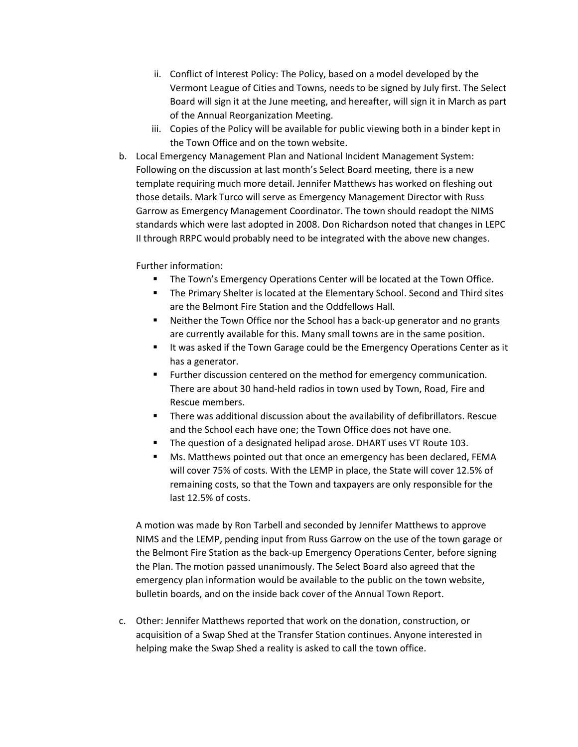- ii. Conflict of Interest Policy: The Policy, based on a model developed by the Vermont League of Cities and Towns, needs to be signed by July first. The Select Board will sign it at the June meeting, and hereafter, will sign it in March as part of the Annual Reorganization Meeting.
- iii. Copies of the Policy will be available for public viewing both in a binder kept in the Town Office and on the town website.
- b. Local Emergency Management Plan and National Incident Management System: Following on the discussion at last month's Select Board meeting, there is a new template requiring much more detail. Jennifer Matthews has worked on fleshing out those details. Mark Turco will serve as Emergency Management Director with Russ Garrow as Emergency Management Coordinator. The town should readopt the NIMS standards which were last adopted in 2008. Don Richardson noted that changes in LEPC II through RRPC would probably need to be integrated with the above new changes.

## Further information:

- The Town's Emergency Operations Center will be located at the Town Office.
- The Primary Shelter is located at the Elementary School. Second and Third sites are the Belmont Fire Station and the Oddfellows Hall.
- Neither the Town Office nor the School has a back-up generator and no grants are currently available for this. Many small towns are in the same position.
- It was asked if the Town Garage could be the Emergency Operations Center as it has a generator.
- Further discussion centered on the method for emergency communication. There are about 30 hand-held radios in town used by Town, Road, Fire and Rescue members.
- There was additional discussion about the availability of defibrillators. Rescue and the School each have one; the Town Office does not have one.
- The question of a designated helipad arose. DHART uses VT Route 103.
- Ms. Matthews pointed out that once an emergency has been declared, FEMA will cover 75% of costs. With the LEMP in place, the State will cover 12.5% of remaining costs, so that the Town and taxpayers are only responsible for the last 12.5% of costs.

A motion was made by Ron Tarbell and seconded by Jennifer Matthews to approve NIMS and the LEMP, pending input from Russ Garrow on the use of the town garage or the Belmont Fire Station as the back-up Emergency Operations Center, before signing the Plan. The motion passed unanimously. The Select Board also agreed that the emergency plan information would be available to the public on the town website, bulletin boards, and on the inside back cover of the Annual Town Report.

c. Other: Jennifer Matthews reported that work on the donation, construction, or acquisition of a Swap Shed at the Transfer Station continues. Anyone interested in helping make the Swap Shed a reality is asked to call the town office.